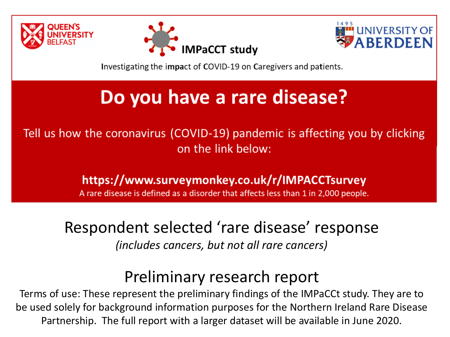





Investigating the impact of COVID-19 on Caregivers and patients.

### Do you have a rare disease?

Tell us how the coronavirus (COVID-19) pandemic is affecting you by clicking on the link below:

https://www.surveymonkey.co.uk/r/IMPACCTsurvey

A rare disease is defined as a disorder that affects less than 1 in 2,000 people.

#### Respondent selected 'rare disease' response *(includes cancers, but not all rare cancers)*

#### Preliminary research report

Terms of use: These represent the preliminary findings of the IMPaCCt study. They are to be used solely for background information purposes for the Northern Ireland Rare Disease Partnership. The full report with a larger dataset will be available in June 2020.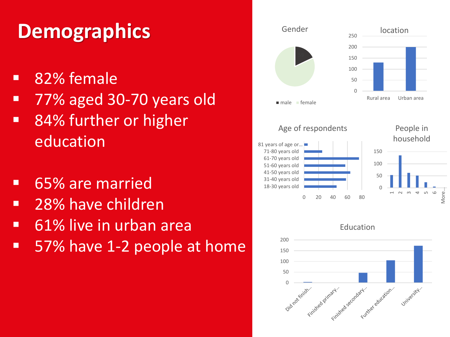## **Demographics**

- 82% female
- 77% aged 30-70 years old
- 84% further or higher education
- 65% are married
- 28% have children
- 61% live in urban area
- 57% have 1-2 people at home



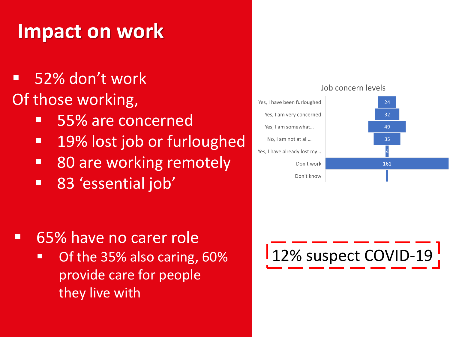## **Impact on work**

- 52% don't work Of those working,
	- 55% are concerned
	- 19% lost job or furloughed
	- 80 are working remotely
	- **83 'essential job'**

- 65% have no carer role
	- Of the 35% also caring, 60% provide care for people they live with



#### Job concern levels

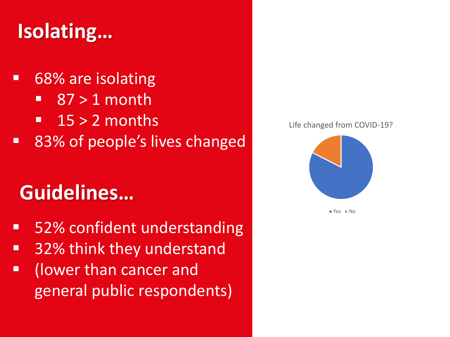## **Isolating…**

#### ■ 68% are isolating  $\blacksquare$  87 > 1 month  $\blacksquare$  15 > 2 months ■ 83% of people's lives changed

## **Guidelines…**

- 52% confident understanding
- 32% think they understand
- (lower than cancer and general public respondents)





 $Yes$  No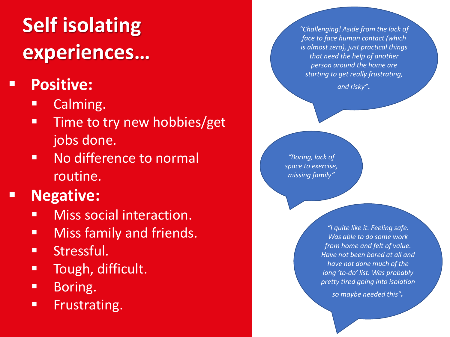# **Self isolating experiences…**

#### ▪ **Positive:**

- Calming.
- **Time to try new hobbies/get** jobs done.
- No difference to normal routine.

#### ▪ **Negative:**

- **■** Miss social interaction.
- **EXECUTE: Miss family and friends.**
- **■** Stressful.
- **■** Tough, difficult.
- Boring.
- **Example 1 Frustrating.**

*"Challenging! Aside from the lack of face to face human contact (which is almost zero), just practical things that need the help of another person around the home are starting to get really frustrating,* 

*and risky".* 

*"Boring, lack of space to exercise, missing family"*

> *"I quite like it. Feeling safe. Was able to do some work from home and felt of value. Have not been bored at all and have not done much of the long 'to-do' list. Was probably pretty tired going into isolation*

> > *so maybe needed this".*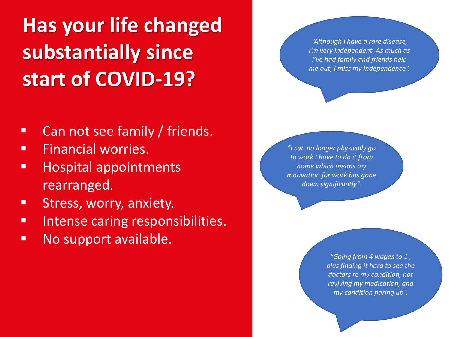# **Has your life changed substantially since start of COVID-19?**

- **EXECTED THE CAN NOTE CAN ADDETER THE CAN ASSESS**
- **EXECTE:** Financial worries.
- **E** Hospital appointments rearranged.
- **E** Stress, worry, anxiety.
- **■** Intense caring responsibilities.
- No support available.

*"Although I have a rare disease, I'm very independent. As much as I've had family and friends help me out, I miss my independence".*

*"I can no longer physically go to work I have to do it from home which means my motivation for work has gone down significantly".*

> *"Going from 4 wages to 1 , plus finding it hard to see the doctors re my condition, not reviving my medication, and my condition flaring up".*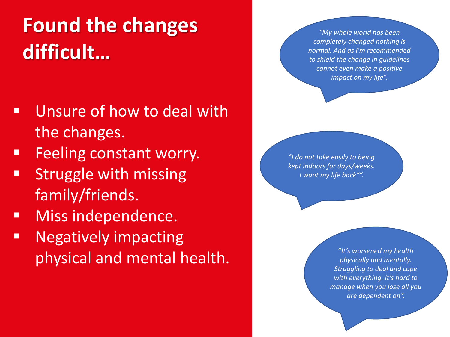# **Found the changes difficult…**

- Unsure of how to deal with the changes.
- **EXECUTE: 5 Feeling constant worry.**
- **EXTENDING IN STREE** family/friends.
- **■** Miss independence.
- Negatively impacting physical and mental health.

*"My whole world has been completely changed nothing is normal. And as I'm recommended to shield the change in guidelines cannot even make a positive impact on my life".*

*"I do not take easily to being kept indoors for days/weeks. I want my life back"".*

> "*It's worsened my health physically and mentally. Struggling to deal and cope with everything. It's hard to manage when you lose all you are dependent on".*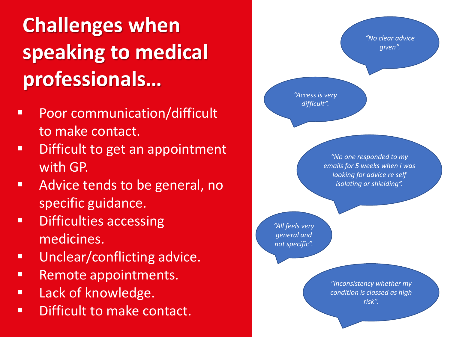# **Challenges when speaking to medical professionals…**

- Poor communication/difficult to make contact.
- Difficult to get an appointment with GP.
- **EXECUTE: Advice tends to be general, no** specific guidance.
- Difficulties accessing medicines.
- Unclear/conflicting advice.
- Remote appointments.
- Lack of knowledge.
- Difficult to make contact.

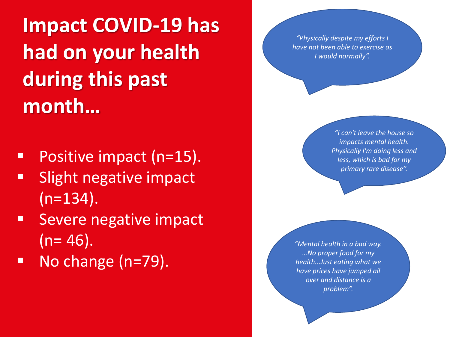**Impact COVID-19 has had on your health during this past month…**

- Positive impact (n=15).
- Slight negative impact  $(n=134)$ .
- Severe negative impact  $(n= 46)$ .

No change (n=79).

*"Physically despite my efforts I have not been able to exercise as I would normally".*

> *"I can't leave the house so impacts mental health. Physically I'm doing less and less, which is bad for my primary rare disease".*

*"Mental health in a bad way. …No proper food for my health...Just eating what we have prices have jumped all over and distance is a problem".*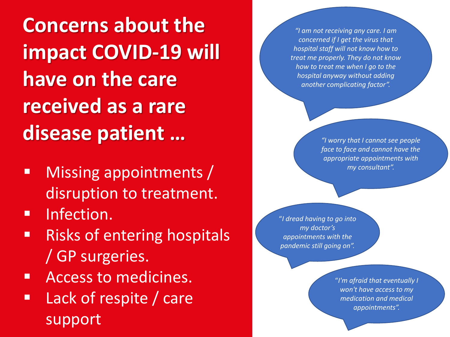**Concerns about the impact COVID-19 will have on the care received as a rare disease patient …**

- **■** Missing appointments / disruption to treatment.
- **<u>■**</u> Infection.
- Risks of entering hospitals / GP surgeries.
- Access to medicines.
- Lack of respite / care support

*"I am not receiving any care. I am concerned if I get the virus that hospital staff will not know how to treat me properly. They do not know how to treat me when I go to the hospital anyway without adding another complicating factor".* 

> *"I worry that I cannot see people face to face and cannot have the appropriate appointments with my consultant".*

"*I dread having to go into my doctor's appointments with the pandemic still going on".* 

> "*I'm afraid that eventually I won't have access to my medication and medical appointments".*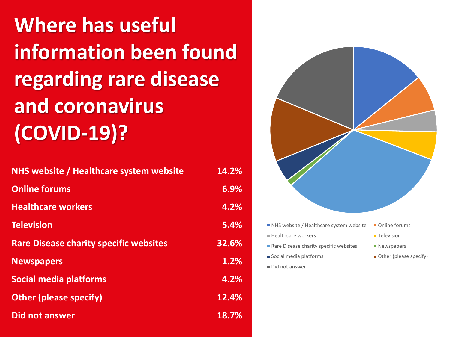**Where has useful information been found regarding rare disease and coronavirus (COVID-19)?**

| NHS website / Healthcare system website       | 14.2% |
|-----------------------------------------------|-------|
| <b>Online forums</b>                          | 6.9%  |
| <b>Healthcare workers</b>                     | 4.2%  |
| <b>Television</b>                             | 5.4%  |
| <b>Rare Disease charity specific websites</b> | 32.6% |
| <b>Newspapers</b>                             | 1.2%  |
| <b>Social media platforms</b>                 | 4.2%  |
| <b>Other (please specify)</b>                 | 12.4% |
| <b>Did not answer</b>                         | 18.7% |

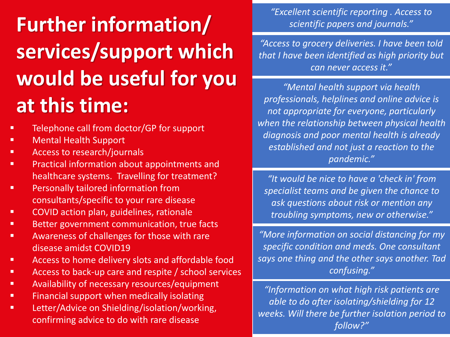# **Further information/ services/support which would be useful for you at this time:**

- Telephone call from doctor/GP for support
- Mental Health Support
- Access to research/journals
- Practical information about appointments and<br>
healthcouse waterse. Travelling for tractment? healthcare systems. Travelling for treatment?
- Personally tailored information from consultants/specific to your rare disease
- COVID action plan, guidelines, rationale
- Better government communication, true facts
- Awareness of challenges for those with rare disease amidst COVID19
- Access to home delivery slots and affordable food
- Access to back-up care and respite / school services
- **EXECTE:** Availability of necessary resources/equipment
- **EXECTE:** Financial support when medically isolating
- **Letter/Advice on Shielding/isolation/working,** confirming advice to do with rare disease

*"Excellent scientific reporting . Access to scientific papers and journals."*

*"Access to grocery deliveries. I have been told that I have been identified as high priority but can never access it."*

*"Mental health support via health professionals, helplines and online advice is not appropriate for everyone, particularly when the relationship between physical health diagnosis and poor mental health is already established and not just a reaction to the pandemic."*

*"It would be nice to have a 'check in' from specialist teams and be given the chance to ask questions about risk or mention any troubling symptoms, new or otherwise."*

*"More information on social distancing for my specific condition and meds. One consultant says one thing and the other says another. Tad confusing."*

*"Information on what high risk patients are able to do after isolating/shielding for 12 weeks. Will there be further isolation period to follow?"*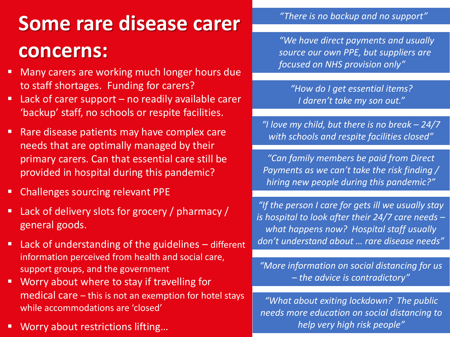# **Some rare disease carer concerns:**

- Many carers are working much longer hours due to staff shortages. Funding for carers?
- Lack of carer support no readily available carer 'backup' staff, no schools or respite facilities.
- .<br>provided in hospital during this pandemic? ■ Rare disease patients may have complex care needs that are optimally managed by their primary carers. Can that essential care still be
- Challenges sourcing relevant PPE
- Lack of delivery slots for grocery / pharmacy / general goods.
- Lack of understanding of the guidelines different information perceived from health and social care, support groups, and the government
- Worry about where to stay if travelling for medical care – this is not an exemption for hotel stays while accommodations are 'closed'
- Worry about restrictions lifting...

*"There is no backup and no support"*

*"We have direct payments and usually source our own PPE, but suppliers are focused on NHS provision only"*

*"How do I get essential items? I daren't take my son out."*

*"I love my child, but there is no break – 24/7 with schools and respite facilities closed"*

*"Can family members be paid from Direct Payments as we can't take the risk finding / hiring new people during this pandemic?"*

*"If the person I care for gets ill we usually stay is hospital to look after their 24/7 care needs – what happens now? Hospital staff usually don't understand about … rare disease needs"*

*"More information on social distancing for us – the advice is contradictory"*

*"What about exiting lockdown? The public needs more education on social distancing to help very high risk people"*